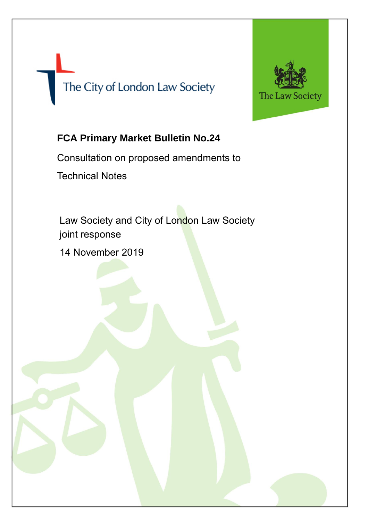# The City of London Law Society



## **FCA Primary Market Bulletin No.24**

Consultation on proposed amendments to Technical Notes

Law Society and City of London Law Society joint response

14 November 2019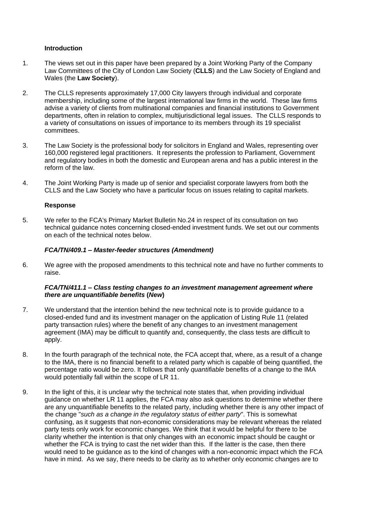#### **Introduction**

- 1. The views set out in this paper have been prepared by a Joint Working Party of the Company Law Committees of the City of London Law Society (**CLLS**) and the Law Society of England and Wales (the **Law Society**).
- 2. The CLLS represents approximately 17,000 City lawyers through individual and corporate membership, including some of the largest international law firms in the world. These law firms advise a variety of clients from multinational companies and financial institutions to Government departments, often in relation to complex, multijurisdictional legal issues. The CLLS responds to a variety of consultations on issues of importance to its members through its 19 specialist committees.
- 3. The Law Society is the professional body for solicitors in England and Wales, representing over 160,000 registered legal practitioners. It represents the profession to Parliament, Government and regulatory bodies in both the domestic and European arena and has a public interest in the reform of the law.
- 4. The Joint Working Party is made up of senior and specialist corporate lawyers from both the CLLS and the Law Society who have a particular focus on issues relating to capital markets.

### **Response**

5. We refer to the FCA's Primary Market Bulletin No.24 in respect of its consultation on two technical guidance notes concerning closed-ended investment funds. We set out our comments on each of the technical notes below.

### *FCA/TN/409.1 – Master-feeder structures (Amendment)*

6. We agree with the proposed amendments to this technical note and have no further comments to raise.

### *FCA/TN/411.1 – Class testing changes to an investment management agreement where there are unquantifiable benefits* **(***New***)**

- 7. We understand that the intention behind the new technical note is to provide guidance to a closed-ended fund and its investment manager on the application of Listing Rule 11 (related party transaction rules) where the benefit of any changes to an investment management agreement (IMA) may be difficult to quantify and, consequently, the class tests are difficult to apply.
- 8. In the fourth paragraph of the technical note, the FCA accept that, where, as a result of a change to the IMA, there is no financial benefit to a related party which is capable of being quantified, the percentage ratio would be zero. It follows that only *quantifiable* benefits of a change to the IMA would potentially fall within the scope of LR 11.
- 9. In the light of this, it is unclear why the technical note states that, when providing individual guidance on whether LR 11 applies, the FCA may also ask questions to determine whether there are any unquantifiable benefits to the related party, including whether there is any other impact of the change "*such as a change in the regulatory status of either party*". This is somewhat confusing, as it suggests that non-economic considerations may be relevant whereas the related party tests only work for economic changes. We think that it would be helpful for there to be clarity whether the intention is that only changes with an economic impact should be caught or whether the FCA is trying to cast the net wider than this. If the latter is the case, then there would need to be guidance as to the kind of changes with a non-economic impact which the FCA have in mind. As we say, there needs to be clarity as to whether only economic changes are to